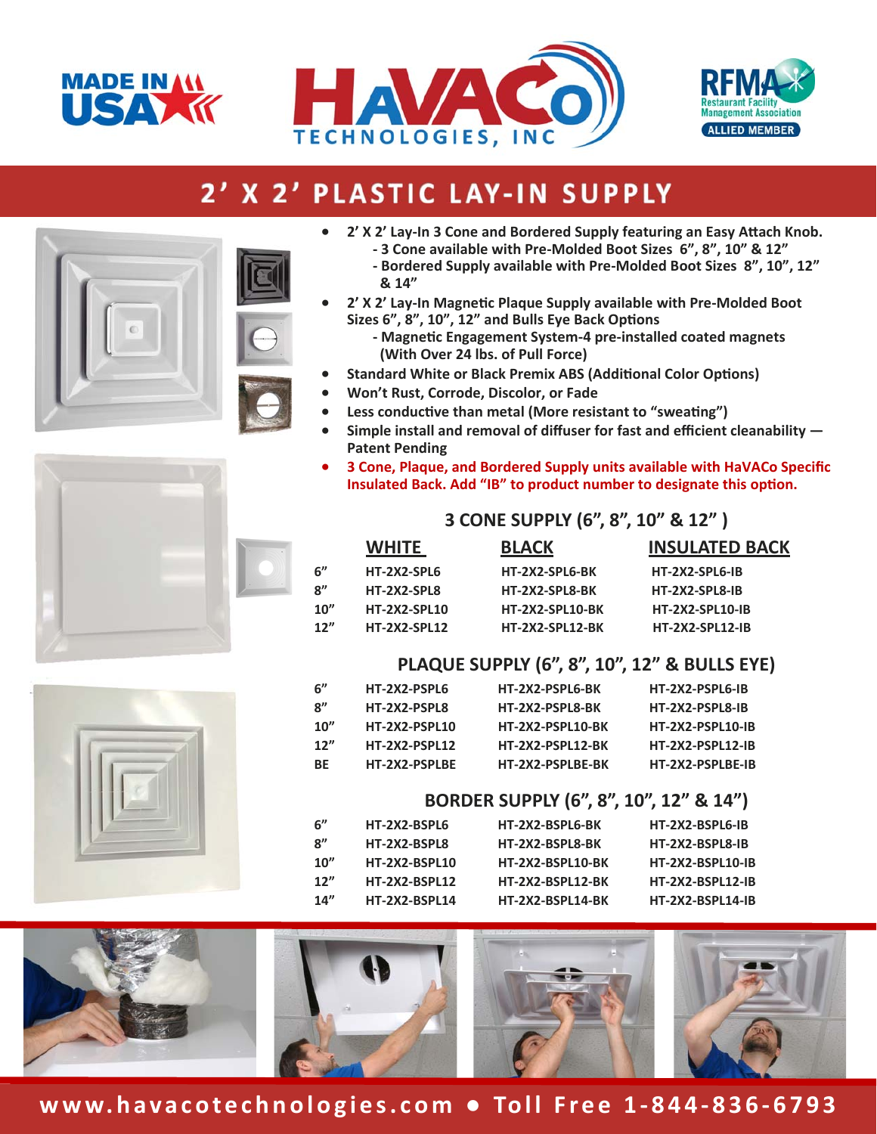





## 2' X 2' PLASTIC LAY-IN SUPPLY





- **‐ Bordered Supply available with Pre‐Molded Boot Sizes 8", 10", 12" & 14"**
- **2' X 2' Lay‐In MagneƟc Plaque Supply available with Pre‐Molded Boot**  Sizes 6", 8", 10", 12" and Bulls Eye Back Options
	- **‐ MagneƟc Engagement System‐4 pre‐installed coated magnets (With Over 24 lbs. of Pull Force)**
- **Standard White or Black Premix ABS (Additional Color Options)**
- **Won't Rust, Corrode, Discolor, or Fade**
- Less conductive than metal (More resistant to "sweating")
- **Simple install and removal of diffuser for fast and efficient cleanability Patent Pending**
- **3 Cone, Plaque, and Bordered Supply units available with HaVACo Specific Insulated Back. Add "IB" to product number to designate this option.**

#### **3 CONE SUPPLY (6", 8", 10" & 12" )**

|      | <b>WHITE</b>        | <b>BLACK</b>           | <b>INSULATED BACK</b>  |
|------|---------------------|------------------------|------------------------|
| 6"   | HT-2X2-SPL6         | HT-2X2-SPL6-BK         | HT-2X2-SPL6-IB         |
| 8"   | HT-2X2-SPL8         | HT-2X2-SPL8-BK         | HT-2X2-SPL8-IB         |
| 10'' | <b>HT-2X2-SPL10</b> | <b>HT-2X2-SPL10-BK</b> | <b>HT-2X2-SPL10-IB</b> |
| 12"  | <b>HT-2X2-SPL12</b> | <b>HT-2X2-SPL12-BK</b> | <b>HT-2X2-SPL12-IB</b> |
|      |                     |                        |                        |

#### **PLAQUE SUPPLY (6", 8", 10", 12" & BULLS EYE)**

| 6"   | HT-2X2-PSPL6         | HT-2X2-PSPL6-BK         | HT-2X2-PSPL6-IB         |
|------|----------------------|-------------------------|-------------------------|
| 8"   | HT-2X2-PSPL8         | HT-2X2-PSPL8-BK         | HT-2X2-PSPL8-IB         |
| 10'' | <b>HT-2X2-PSPL10</b> | HT-2X2-PSPL10-BK        | <b>HT-2X2-PSPL10-IB</b> |
| 12"  | <b>HT-2X2-PSPL12</b> | <b>HT-2X2-PSPL12-BK</b> | <b>HT-2X2-PSPL12-IB</b> |
| ВE   | HT-2X2-PSPLBE        | HT-2X2-PSPLBE-BK        | HT-2X2-PSPLBE-IB        |
|      |                      |                         |                         |

#### **BORDER SUPPLY (6", 8", 10", 12" & 14")**

| 6"   | HT-2X2-BSPL6         | HT-2X2-BSPL6-BK  | HT-2X2-BSPL6-IB         |
|------|----------------------|------------------|-------------------------|
| 8"   | HT-2X2-BSPL8         | HT-2X2-BSPL8-BK  | HT-2X2-BSPL8-IB         |
| 10'' | <b>HT-2X2-BSPL10</b> | HT-2X2-BSPL10-BK | <b>HT-2X2-BSPL10-IB</b> |
| 12'' | <b>HT-2X2-BSPL12</b> | HT-2X2-BSPL12-BK | <b>HT-2X2-BSPL12-IB</b> |
| 14'' | <b>HT-2X2-BSPL14</b> | HT-2X2-BSPL14-BK | <b>HT-2X2-BSPL14-IB</b> |
|      |                      |                  |                         |



### **www.havacotechnologies.com ● Toll Free 1‐844‐836‐6793**